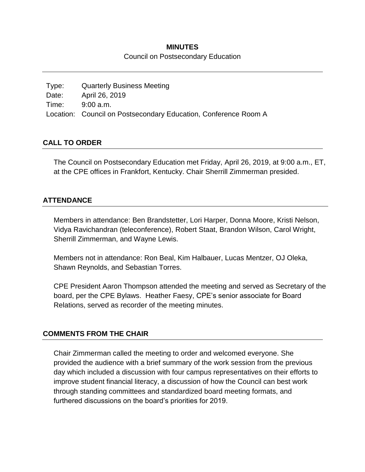### **MINUTES**

Council on Postsecondary Education

| Type: | <b>Quarterly Business Meeting</b>                               |
|-------|-----------------------------------------------------------------|
| Date: | April 26, 2019                                                  |
| Time: | 9:00 a.m.                                                       |
|       | Location: Council on Postsecondary Education, Conference Room A |

## **CALL TO ORDER**

The Council on Postsecondary Education met Friday, April 26, 2019, at 9:00 a.m., ET, at the CPE offices in Frankfort, Kentucky. Chair Sherrill Zimmerman presided.

## **ATTENDANCE**

Members in attendance: Ben Brandstetter, Lori Harper, Donna Moore, Kristi Nelson, Vidya Ravichandran (teleconference), Robert Staat, Brandon Wilson, Carol Wright, Sherrill Zimmerman, and Wayne Lewis.

Members not in attendance: Ron Beal, Kim Halbauer, Lucas Mentzer, OJ Oleka, Shawn Reynolds, and Sebastian Torres.

CPE President Aaron Thompson attended the meeting and served as Secretary of the board, per the CPE Bylaws. Heather Faesy, CPE's senior associate for Board Relations, served as recorder of the meeting minutes.

## **COMMENTS FROM THE CHAIR**

Chair Zimmerman called the meeting to order and welcomed everyone. She provided the audience with a brief summary of the work session from the previous day which included a discussion with four campus representatives on their efforts to improve student financial literacy, a discussion of how the Council can best work through standing committees and standardized board meeting formats, and furthered discussions on the board's priorities for 2019.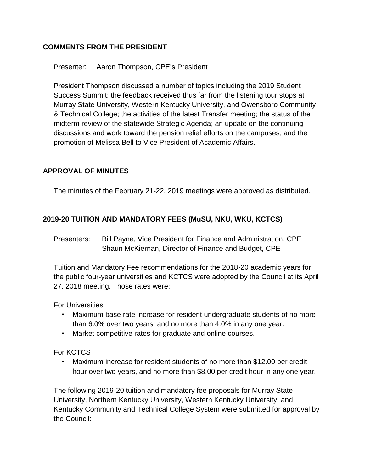## **COMMENTS FROM THE PRESIDENT**

### Presenter: Aaron Thompson, CPE's President

President Thompson discussed a number of topics including the 2019 Student Success Summit; the feedback received thus far from the listening tour stops at Murray State University, Western Kentucky University, and Owensboro Community & Technical College; the activities of the latest Transfer meeting; the status of the midterm review of the statewide Strategic Agenda; an update on the continuing discussions and work toward the pension relief efforts on the campuses; and the promotion of Melissa Bell to Vice President of Academic Affairs.

#### **APPROVAL OF MINUTES**

The minutes of the February 21-22, 2019 meetings were approved as distributed.

## **2019-20 TUITION AND MANDATORY FEES (MuSU, NKU, WKU, KCTCS)**

Presenters: Bill Payne, Vice President for Finance and Administration, CPE Shaun McKiernan, Director of Finance and Budget, CPE

Tuition and Mandatory Fee recommendations for the 2018-20 academic years for the public four-year universities and KCTCS were adopted by the Council at its April 27, 2018 meeting. Those rates were:

For Universities

- Maximum base rate increase for resident undergraduate students of no more than 6.0% over two years, and no more than 4.0% in any one year.
- Market competitive rates for graduate and online courses.

#### For KCTCS

• Maximum increase for resident students of no more than \$12.00 per credit hour over two years, and no more than \$8.00 per credit hour in any one year.

The following 2019-20 tuition and mandatory fee proposals for Murray State University, Northern Kentucky University, Western Kentucky University, and Kentucky Community and Technical College System were submitted for approval by the Council: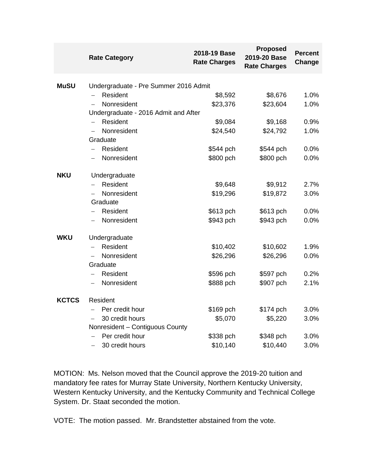|              | <b>Rate Category</b>                  | 2018-19 Base<br><b>Rate Charges</b> | <b>Proposed</b><br>2019-20 Base<br><b>Rate Charges</b> | <b>Percent</b><br>Change |
|--------------|---------------------------------------|-------------------------------------|--------------------------------------------------------|--------------------------|
| <b>MuSU</b>  | Undergraduate - Pre Summer 2016 Admit |                                     |                                                        |                          |
|              | Resident                              | \$8,592                             | \$8,676                                                | 1.0%                     |
|              | Nonresident                           | \$23,376                            | \$23,604                                               | 1.0%                     |
|              | Undergraduate - 2016 Admit and After  |                                     |                                                        |                          |
|              | Resident                              | \$9,084                             | \$9,168                                                | 0.9%                     |
|              | Nonresident                           | \$24,540                            | \$24,792                                               | 1.0%                     |
|              | Graduate                              |                                     |                                                        |                          |
|              | Resident                              | \$544 pch                           | \$544 pch                                              | 0.0%                     |
|              | Nonresident                           | \$800 pch                           | \$800 pch                                              | 0.0%                     |
| <b>NKU</b>   | Undergraduate                         |                                     |                                                        |                          |
|              | Resident                              | \$9,648                             | \$9,912                                                | 2.7%                     |
|              | Nonresident                           | \$19,296                            | \$19,872                                               | 3.0%                     |
|              | Graduate                              |                                     |                                                        |                          |
|              | Resident                              | \$613 pch                           | \$613 pch                                              | 0.0%                     |
|              | Nonresident                           | \$943 pch                           | \$943 pch                                              | 0.0%                     |
| <b>WKU</b>   | Undergraduate                         |                                     |                                                        |                          |
|              | Resident                              | \$10,402                            | \$10,602                                               | 1.9%                     |
|              | Nonresident                           | \$26,296                            | \$26,296                                               | 0.0%                     |
|              | Graduate                              |                                     |                                                        |                          |
|              | Resident                              | \$596 pch                           | \$597 pch                                              | 0.2%                     |
|              | Nonresident                           | \$888 pch                           | \$907 pch                                              | 2.1%                     |
| <b>KCTCS</b> | Resident                              |                                     |                                                        |                          |
|              | Per credit hour                       | \$169 pch                           | \$174 pch                                              | 3.0%                     |
|              | 30 credit hours                       | \$5,070                             | \$5,220                                                | 3.0%                     |
|              | Nonresident - Contiguous County       |                                     |                                                        |                          |
|              | Per credit hour                       | \$338 pch                           | \$348 pch                                              | 3.0%                     |
|              | 30 credit hours                       | \$10,140                            | \$10,440                                               | 3.0%                     |

MOTION: Ms. Nelson moved that the Council approve the 2019-20 tuition and mandatory fee rates for Murray State University, Northern Kentucky University, Western Kentucky University, and the Kentucky Community and Technical College System. Dr. Staat seconded the motion.

VOTE: The motion passed. Mr. Brandstetter abstained from the vote.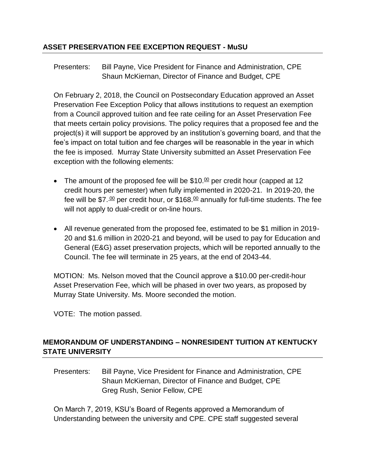## **ASSET PRESERVATION FEE EXCEPTION REQUEST - MuSU**

Presenters: Bill Payne, Vice President for Finance and Administration, CPE Shaun McKiernan, Director of Finance and Budget, CPE

On February 2, 2018, the Council on Postsecondary Education approved an Asset Preservation Fee Exception Policy that allows institutions to request an exemption from a Council approved tuition and fee rate ceiling for an Asset Preservation Fee that meets certain policy provisions. The policy requires that a proposed fee and the project(s) it will support be approved by an institution's governing board, and that the fee's impact on total tuition and fee charges will be reasonable in the year in which the fee is imposed. Murray State University submitted an Asset Preservation Fee exception with the following elements:

- The amount of the proposed fee will be  $$10<sup>00</sup>$  per credit hour (capped at 12 credit hours per semester) when fully implemented in 2020-21. In 2019-20, the fee will be \$7. $\frac{00}{2}$  per credit hour, or \$168. $\frac{00}{2}$  annually for full-time students. The fee will not apply to dual-credit or on-line hours.
- All revenue generated from the proposed fee, estimated to be \$1 million in 2019- 20 and \$1.6 million in 2020-21 and beyond, will be used to pay for Education and General (E&G) asset preservation projects, which will be reported annually to the Council. The fee will terminate in 25 years, at the end of 2043-44.

MOTION: Ms. Nelson moved that the Council approve a \$10.00 per-credit-hour Asset Preservation Fee, which will be phased in over two years, as proposed by Murray State University. Ms. Moore seconded the motion.

VOTE: The motion passed.

# **MEMORANDUM OF UNDERSTANDING – NONRESIDENT TUITION AT KENTUCKY STATE UNIVERSITY**

Presenters: Bill Payne, Vice President for Finance and Administration, CPE Shaun McKiernan, Director of Finance and Budget, CPE Greg Rush, Senior Fellow, CPE

On March 7, 2019, KSU's Board of Regents approved a Memorandum of Understanding between the university and CPE. CPE staff suggested several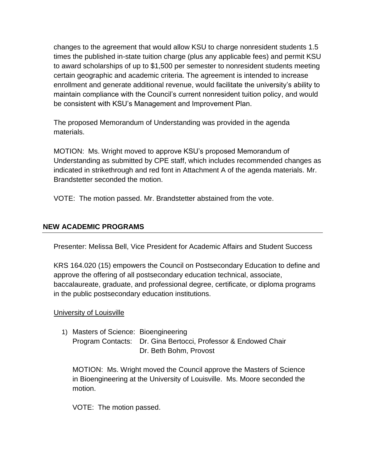changes to the agreement that would allow KSU to charge nonresident students 1.5 times the published in-state tuition charge (plus any applicable fees) and permit KSU to award scholarships of up to \$1,500 per semester to nonresident students meeting certain geographic and academic criteria. The agreement is intended to increase enrollment and generate additional revenue, would facilitate the university's ability to maintain compliance with the Council's current nonresident tuition policy, and would be consistent with KSU's Management and Improvement Plan.

The proposed Memorandum of Understanding was provided in the agenda materials.

MOTION: Ms. Wright moved to approve KSU's proposed Memorandum of Understanding as submitted by CPE staff, which includes recommended changes as indicated in strikethrough and red font in Attachment A of the agenda materials. Mr. Brandstetter seconded the motion.

VOTE: The motion passed. Mr. Brandstetter abstained from the vote.

# **NEW ACADEMIC PROGRAMS**

Presenter: Melissa Bell, Vice President for Academic Affairs and Student Success

KRS 164.020 (15) empowers the Council on Postsecondary Education to define and approve the offering of all postsecondary education technical, associate, baccalaureate, graduate, and professional degree, certificate, or diploma programs in the public postsecondary education institutions.

# University of Louisville

1) Masters of Science: Bioengineering Program Contacts: Dr. Gina Bertocci, Professor & Endowed Chair Dr. Beth Bohm, Provost

MOTION: Ms. Wright moved the Council approve the Masters of Science in Bioengineering at the University of Louisville. Ms. Moore seconded the motion.

VOTE: The motion passed.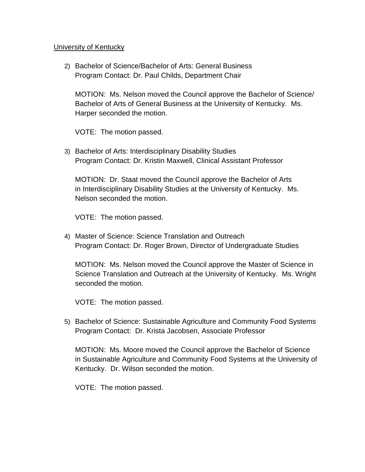#### University of Kentucky

2) Bachelor of Science/Bachelor of Arts: General Business Program Contact: Dr. Paul Childs, Department Chair

MOTION: Ms. Nelson moved the Council approve the Bachelor of Science/ Bachelor of Arts of General Business at the University of Kentucky. Ms. Harper seconded the motion.

VOTE: The motion passed.

3) Bachelor of Arts: Interdisciplinary Disability Studies Program Contact: Dr. Kristin Maxwell, Clinical Assistant Professor

MOTION: Dr. Staat moved the Council approve the Bachelor of Arts in Interdisciplinary Disability Studies at the University of Kentucky. Ms. Nelson seconded the motion.

VOTE: The motion passed.

4) Master of Science: Science Translation and Outreach Program Contact: Dr. Roger Brown, Director of Undergraduate Studies

MOTION: Ms. Nelson moved the Council approve the Master of Science in Science Translation and Outreach at the University of Kentucky. Ms. Wright seconded the motion.

VOTE: The motion passed.

5) Bachelor of Science: Sustainable Agriculture and Community Food Systems Program Contact: Dr. Krista Jacobsen, Associate Professor

MOTION: Ms. Moore moved the Council approve the Bachelor of Science in Sustainable Agriculture and Community Food Systems at the University of Kentucky. Dr. Wilson seconded the motion.

VOTE: The motion passed.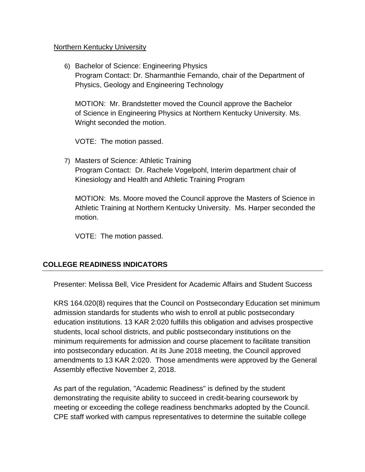#### Northern Kentucky University

6) Bachelor of Science: Engineering Physics Program Contact: Dr. Sharmanthie Fernando, chair of the Department of Physics, Geology and Engineering Technology

MOTION: Mr. Brandstetter moved the Council approve the Bachelor of Science in Engineering Physics at Northern Kentucky University. Ms. Wright seconded the motion.

VOTE: The motion passed.

7) Masters of Science: Athletic Training Program Contact: Dr. Rachele Vogelpohl, Interim department chair of Kinesiology and Health and Athletic Training Program

MOTION: Ms. Moore moved the Council approve the Masters of Science in Athletic Training at Northern Kentucky University. Ms. Harper seconded the motion.

VOTE: The motion passed.

## **COLLEGE READINESS INDICATORS**

Presenter: Melissa Bell, Vice President for Academic Affairs and Student Success

KRS 164.020(8) requires that the Council on Postsecondary Education set minimum admission standards for students who wish to enroll at public postsecondary education institutions. 13 KAR 2:020 fulfills this obligation and advises prospective students, local school districts, and public postsecondary institutions on the minimum requirements for admission and course placement to facilitate transition into postsecondary education. At its June 2018 meeting, the Council approved amendments to 13 KAR 2:020. Those amendments were approved by the General Assembly effective November 2, 2018.

As part of the regulation, "Academic Readiness" is defined by the student demonstrating the requisite ability to succeed in credit-bearing coursework by meeting or exceeding the college readiness benchmarks adopted by the Council. CPE staff worked with campus representatives to determine the suitable college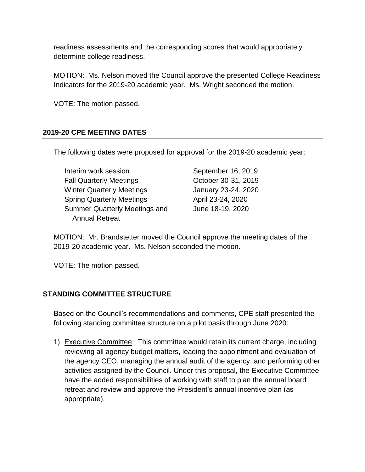readiness assessments and the corresponding scores that would appropriately determine college readiness.

MOTION: Ms. Nelson moved the Council approve the presented College Readiness Indicators for the 2019-20 academic year. Ms. Wright seconded the motion.

VOTE: The motion passed.

## **2019-20 CPE MEETING DATES**

The following dates were proposed for approval for the 2019-20 academic year:

| Interim work session                 |  |
|--------------------------------------|--|
| <b>Fall Quarterly Meetings</b>       |  |
| <b>Winter Quarterly Meetings</b>     |  |
| <b>Spring Quarterly Meetings</b>     |  |
| <b>Summer Quarterly Meetings and</b> |  |
| <b>Annual Retreat</b>                |  |

September 16, 2019 October 30-31, 2019 January 23-24, 2020 April 23-24, 2020 June 18-19, 2020

MOTION: Mr. Brandstetter moved the Council approve the meeting dates of the 2019-20 academic year. Ms. Nelson seconded the motion.

VOTE: The motion passed.

## **STANDING COMMITTEE STRUCTURE**

Based on the Council's recommendations and comments, CPE staff presented the following standing committee structure on a pilot basis through June 2020:

1) Executive Committee: This committee would retain its current charge, including reviewing all agency budget matters, leading the appointment and evaluation of the agency CEO, managing the annual audit of the agency, and performing other activities assigned by the Council. Under this proposal, the Executive Committee have the added responsibilities of working with staff to plan the annual board retreat and review and approve the President's annual incentive plan (as appropriate).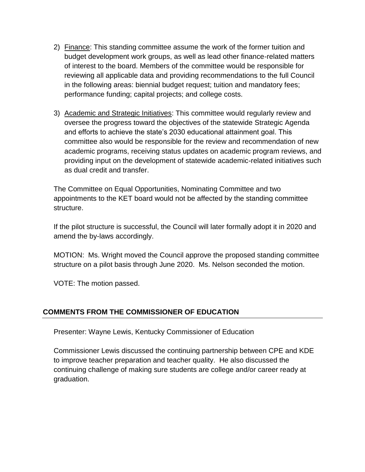- 2) Finance: This standing committee assume the work of the former tuition and budget development work groups, as well as lead other finance-related matters of interest to the board. Members of the committee would be responsible for reviewing all applicable data and providing recommendations to the full Council in the following areas: biennial budget request; tuition and mandatory fees; performance funding; capital projects; and college costs.
- 3) Academic and Strategic Initiatives: This committee would regularly review and oversee the progress toward the objectives of the statewide Strategic Agenda and efforts to achieve the state's 2030 educational attainment goal. This committee also would be responsible for the review and recommendation of new academic programs, receiving status updates on academic program reviews, and providing input on the development of statewide academic-related initiatives such as dual credit and transfer.

The Committee on Equal Opportunities, Nominating Committee and two appointments to the KET board would not be affected by the standing committee structure.

If the pilot structure is successful, the Council will later formally adopt it in 2020 and amend the by-laws accordingly.

MOTION: Ms. Wright moved the Council approve the proposed standing committee structure on a pilot basis through June 2020. Ms. Nelson seconded the motion.

VOTE: The motion passed.

# **COMMENTS FROM THE COMMISSIONER OF EDUCATION**

Presenter: Wayne Lewis, Kentucky Commissioner of Education

Commissioner Lewis discussed the continuing partnership between CPE and KDE to improve teacher preparation and teacher quality. He also discussed the continuing challenge of making sure students are college and/or career ready at graduation.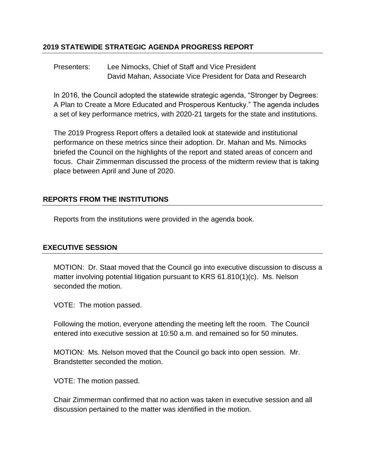## **2019 STATEWIDE STRATEGIC AGENDA PROGRESS REPORT**

Presenters: Lee Nimocks, Chief of Staff and Vice President David Mahan, Associate Vice President for Data and Research

In 2016, the Council adopted the statewide strategic agenda, "Stronger by Degrees: A Plan to Create a More Educated and Prosperous Kentucky." The agenda includes a set of key performance metrics, with 2020-21 targets for the state and institutions.

The 2019 Progress Report offers a detailed look at statewide and institutional performance on these metrics since their adoption. Dr. Mahan and Ms. Nimocks briefed the Council on the highlights of the report and stated areas of concern and focus. Chair Zimmerman discussed the process of the midterm review that is taking place between April and June of 2020.

## **REPORTS FROM THE INSTITUTIONS**

Reports from the institutions were provided in the agenda book.

## **EXECUTIVE SESSION**

MOTION: Dr. Staat moved that the Council go into executive discussion to discuss a matter involving potential litigation pursuant to KRS 61.810(1)(c). Ms. Nelson seconded the motion.

VOTE: The motion passed.

Following the motion, everyone attending the meeting left the room. The Council entered into executive session at 10:50 a.m. and remained so for 50 minutes.

MOTION: Ms. Nelson moved that the Council go back into open session. Mr. Brandstetter seconded the motion.

VOTE: The motion passed.

Chair Zimmerman confirmed that no action was taken in executive session and all discussion pertained to the matter was identified in the motion.